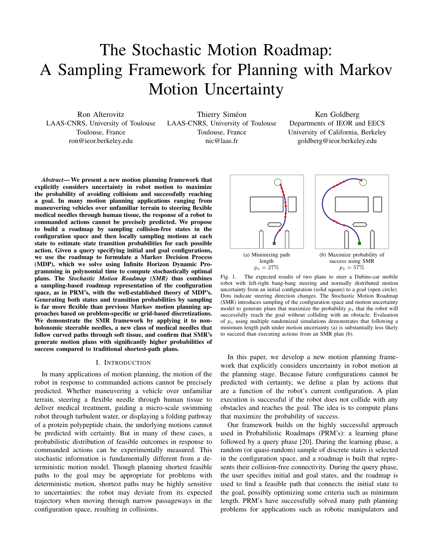# The Stochastic Motion Roadmap: A Sampling Framework for Planning with Markov Motion Uncertainty

Ron Alterovitz LAAS-CNRS, University of Toulouse Toulouse, France ron@ieor.berkeley.edu

Thierry Siméon LAAS-CNRS, University of Toulouse Toulouse, France nic@laas.fr

Ken Goldberg Departments of IEOR and EECS University of California, Berkeley goldberg@ieor.berkeley.edu

*Abstract*— We present a new motion planning framework that explicitly considers uncertainty in robot motion to maximize the probability of avoiding collisions and successfully reaching a goal. In many motion planning applications ranging from maneuvering vehicles over unfamiliar terrain to steering flexible medical needles through human tissue, the response of a robot to commanded actions cannot be precisely predicted. We propose to build a roadmap by sampling collision-free states in the configuration space and then locally sampling motions at each state to estimate state transition probabilities for each possible action. Given a query specifying initial and goal configurations, we use the roadmap to formulate a Markov Decision Process (MDP), which we solve using Infinite Horizon Dynamic Programming in polynomial time to compute stochastically optimal plans. The *Stochastic Motion Roadmap (SMR)* thus combines a sampling-based roadmap representation of the configuration space, as in PRM's, with the well-established theory of MDP's. Generating both states and transition probabilities by sampling is far more flexible than previous Markov motion planning approaches based on problem-specific or grid-based discretizations. We demonstrate the SMR framework by applying it to nonholonomic steerable needles, a new class of medical needles that follow curved paths through soft tissue, and confirm that SMR's generate motion plans with significantly higher probabilities of success compared to traditional shortest-path plans.

### I. INTRODUCTION

In many applications of motion planning, the motion of the robot in response to commanded actions cannot be precisely predicted. Whether maneuvering a vehicle over unfamiliar terrain, steering a flexible needle through human tissue to deliver medical treatment, guiding a micro-scale swimming robot through turbulent water, or displaying a folding pathway of a protein polypeptide chain, the underlying motions cannot be predicted with certainty. But in many of these cases, a probabilistic distribution of feasible outcomes in response to commanded actions can be experimentally measured. This stochastic information is fundamentally different from a deterministic motion model. Though planning shortest feasible paths to the goal may be appropriate for problems with deterministic motion, shortest paths may be highly sensitive to uncertainties: the robot may deviate from its expected trajectory when moving through narrow passageways in the configuration space, resulting in collisions.



Fig. 1. The expected results of two plans to steer a Dubins-car mobile robot with left-right bang-bang steering and normally distributed motion uncertainty from an initial configuration (solid square) to a goal (open circle). Dots indicate steering direction changes. The Stochastic Motion Roadmap (SMR) introduces sampling of the configuration space and motion uncertainty model to generate plans that maximize the probability  $p_s$  that the robot will successfully reach the goal without colliding with an obstacle. Evaluation of  $p_s$  using multiple randomized simulations demonstrates that following a minimum length path under motion uncertainty (a) is substantially less likely to succeed than executing actions from an SMR plan (b).

In this paper, we develop a new motion planning framework that explicitly considers uncertainty in robot motion at the planning stage. Because future configurations cannot be predicted with certainty, we define a plan by actions that are a function of the robot's current configuration. A plan execution is successful if the robot does not collide with any obstacles and reaches the goal. The idea is to compute plans that maximize the probability of success.

Our framework builds on the highly successful approach used in Probabilistic Roadmaps (PRM's): a learning phase followed by a query phase [20]. During the learning phase, a random (or quasi-random) sample of discrete states is selected in the configuration space, and a roadmap is built that represents their collision-free connectivity. During the query phase, the user specifies initial and goal states, and the roadmap is used to find a feasible path that connects the initial state to the goal, possibly optimizing some criteria such as minimum length. PRM's have successfully solved many path planning problems for applications such as robotic manipulators and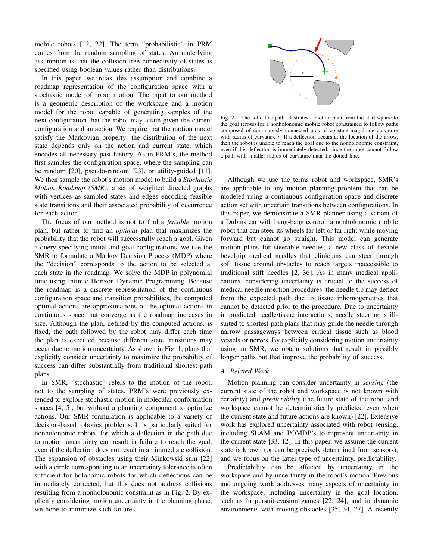mobile robots [12, 22]. The term "probabilistic" in PRM comes from the random sampling of states. An underlying assumption is that the collision-free connectivity of states is specified using boolean values rather than distributions.

In this paper, we relax this assumption and combine a roadmap representation of the configuration space with a stochastic model of robot motion. The input to our method is a geometric description of the workspace and a motion model for the robot capable of generating samples of the next configuration that the robot may attain given the current configuration and an action. We require that the motion model satisfy the Markovian property: the distribution of the next state depends only on the action and current state, which encodes all necessary past history. As in PRM's, the method first samples the configuration space, where the sampling can be random [20], pseudo-random [23], or utility-guided [11]. We then sample the robot's motion model to build a *Stochastic Motion Roadmap (SMR)*, a set of weighted directed graphs with vertices as sampled states and edges encoding feasible state transitions and their associated probability of occurrence for each action.

The focus of our method is not to find a *feasible* motion plan, but rather to find an *optimal* plan that maximizes the probability that the robot will successfully reach a goal. Given a query specifying initial and goal configurations, we use the SMR to formulate a Markov Decision Process (MDP) where the "decision" corresponds to the action to be selected at each state in the roadmap. We solve the MDP in polynomial time using Infinite Horizon Dynamic Programming. Because the roadmap is a discrete representation of the continuous configuration space and transition probabilities, the computed optimal actions are approximations of the optimal actions in continuous space that converge as the roadmap increases in size. Although the plan, defined by the computed actions, is fixed, the path followed by the robot may differ each time the plan is executed because different state transitions may occur due to motion uncertainty. As shown in Fig. 1, plans that explicitly consider uncertainty to maximize the probability of success can differ substantially from traditional shortest path plans.

In SMR, "stochastic" refers to the motion of the robot, not to the sampling of states. PRM's were previously extended to explore stochastic motion in molecular conformation spaces [4, 5], but without a planning component to optimize actions. Our SMR formulation is applicable to a variety of decision-based robotics problems. It is particularly suited for nonholonomic robots, for which a deflection in the path due to motion uncertainty can result in failure to reach the goal, even if the deflection does not result in an immediate collision. The expansion of obstacles using their Minkowski sum [22] with a circle corresponding to an uncertainty tolerance is often sufficient for holonomic robots for which deflections can be immediately corrected, but this does not address collisions resulting from a nonholonomic constraint as in Fig. 2. By explicitly considering motion uncertainty in the planning phase, we hope to minimize such failures.



Fig. 2. The solid line path illustrates a motion plan from the start square to the goal (cross) for a nonholonomic mobile robot constrained to follow paths composed of continuously connected arcs of constant-magnitude curvature with radius of curvature  $r$ . If a deflection occurs at the location of the arrow, then the robot is unable to reach the goal due to the nonholonomic constraint, even if this deflection is immediately detected, since the robot cannot follow a path with smaller radius of curvature than the dotted line.

Although we use the terms robot and workspace, SMR's are applicable to any motion planning problem that can be modeled using a continuous configuration space and discrete action set with uncertain transitions between configurations. In this paper, we demonstrate a SMR planner using a variant of a Dubins car with bang-bang control, a nonholonomic mobile robot that can steer its wheels far left or far right while moving forward but cannot go straight. This model can generate motion plans for steerable needles, a new class of flexible bevel-tip medical needles that clinicians can steer through soft tissue around obstacles to reach targets inaccessible to traditional stiff needles [2, 36]. As in many medical applications, considering uncertainty is crucial to the success of medical needle insertion procedures: the needle tip may deflect from the expected path due to tissue inhomogeneities that cannot be detected prior to the procedure. Due to uncertainty in predicted needle/tissue interactions, needle steering is illsuited to shortest-path plans that may guide the needle through narrow passageways between critical tissue such as blood vessels or nerves. By explicitly considering motion uncertainty using an SMR, we obtain solutions that result in possibly longer paths but that improve the probability of success.

## *A. Related Work*

Motion planning can consider uncertainty in *sensing* (the current state of the robot and workspace is not known with certainty) and *predictability* (the future state of the robot and workspace cannot be deterministically predicted even when the current state and future actions are known) [22]. Extensive work has explored uncertainty associated with robot sensing, including SLAM and POMDP's to represent uncertainty in the current state [33, 12]. In this paper, we assume the current state is known (or can be precisely determined from sensors), and we focus on the latter type of uncertainty, predictability.

Predictability can be affected by uncertainty in the workspace and by uncertainty in the robot's motion. Previous and ongoing work addresses many aspects of uncertainty in the workspace, including uncertainty in the goal location, such as in pursuit-evasion games [22, 24], and in dynamic environments with moving obstacles [35, 34, 27]. A recently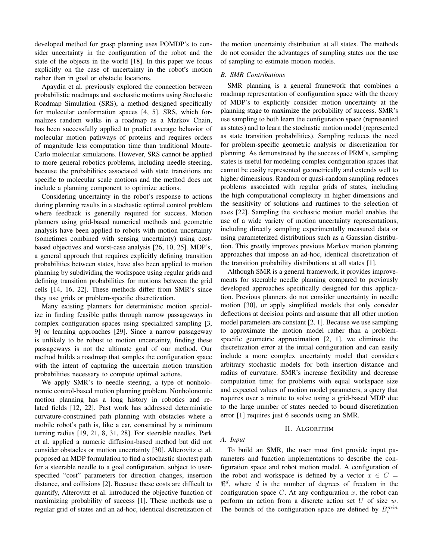developed method for grasp planning uses POMDP's to consider uncertainty in the configuration of the robot and the state of the objects in the world [18]. In this paper we focus explicitly on the case of uncertainty in the robot's motion rather than in goal or obstacle locations.

Apaydin et al. previously explored the connection between probabilistic roadmaps and stochastic motions using Stochastic Roadmap Simulation (SRS), a method designed specifically for molecular conformation spaces [4, 5]. SRS, which formalizes random walks in a roadmap as a Markov Chain, has been successfully applied to predict average behavior of molecular motion pathways of proteins and requires orders of magnitude less computation time than traditional Monte-Carlo molecular simulations. However, SRS cannot be applied to more general robotics problems, including needle steering, because the probabilities associated with state transitions are specific to molecular scale motions and the method does not include a planning component to optimize actions.

Considering uncertainty in the robot's response to actions during planning results in a stochastic optimal control problem where feedback is generally required for success. Motion planners using grid-based numerical methods and geometric analysis have been applied to robots with motion uncertainty (sometimes combined with sensing uncertainty) using costbased objectives and worst-case analysis [26, 10, 25]. MDP's, a general approach that requires explicitly defining transition probabilities between states, have also been applied to motion planning by subdividing the workspace using regular grids and defining transition probabilities for motions between the grid cells [14, 16, 22]. These methods differ from SMR's since they use grids or problem-specific discretization.

Many existing planners for deterministic motion specialize in finding feasible paths through narrow passageways in complex configuration spaces using specialized sampling [3, 9] or learning approaches [29]. Since a narrow passageway is unlikely to be robust to motion uncertainty, finding these passageways is not the ultimate goal of our method. Our method builds a roadmap that samples the configuration space with the intent of capturing the uncertain motion transition probabilities necessary to compute optimal actions.

We apply SMR's to needle steering, a type of nonholonomic control-based motion planning problem. Nonholonomic motion planning has a long history in robotics and related fields [12, 22]. Past work has addressed deterministic curvature-constrained path planning with obstacles where a mobile robot's path is, like a car, constrained by a minimum turning radius [19, 21, 8, 31, 28]. For steerable needles, Park et al. applied a numeric diffusion-based method but did not consider obstacles or motion uncertainty [30]. Alterovitz et al. proposed an MDP formulation to find a stochastic shortest path for a steerable needle to a goal configuration, subject to userspecified "cost" parameters for direction changes, insertion distance, and collisions [2]. Because these costs are difficult to quantify, Alterovitz et al. introduced the objective function of maximizing probability of success [1]. These methods use a regular grid of states and an ad-hoc, identical discretization of the motion uncertainty distribution at all states. The methods do not consider the advantages of sampling states nor the use of sampling to estimate motion models.

## *B. SMR Contributions*

SMR planning is a general framework that combines a roadmap representation of configuration space with the theory of MDP's to explicitly consider motion uncertainty at the planning stage to maximize the probability of success. SMR's use sampling to both learn the configuration space (represented as states) and to learn the stochastic motion model (represented as state transition probabilities). Sampling reduces the need for problem-specific geometric analysis or discretization for planning. As demonstrated by the success of PRM's, sampling states is useful for modeling complex configuration spaces that cannot be easily represented geometrically and extends well to higher dimensions. Random or quasi-random sampling reduces problems associated with regular grids of states, including the high computational complexity in higher dimensions and the sensitivity of solutions and runtimes to the selection of axes [22]. Sampling the stochastic motion model enables the use of a wide variety of motion uncertainty representations, including directly sampling experimentally measured data or using parameterized distributions such as a Gaussian distribution. This greatly improves previous Markov motion planning approaches that impose an ad-hoc, identical discretization of the transition probability distributions at all states [1].

Although SMR is a general framework, it provides improvements for steerable needle planning compared to previously developed approaches specifically designed for this application. Previous planners do not consider uncertainty in needle motion [30], or apply simplified models that only consider deflections at decision points and assume that all other motion model parameters are constant [2, 1]. Because we use sampling to approximate the motion model rather than a problemspecific geometric approximation [2, 1], we eliminate the discretization error at the initial configuration and can easily include a more complex uncertainty model that considers arbitrary stochastic models for both insertion distance and radius of curvature. SMR's increase flexibility and decrease computation time; for problems with equal workspace size and expected values of motion model parameters, a query that requires over a minute to solve using a grid-based MDP due to the large number of states needed to bound discretization error [1] requires just 6 seconds using an SMR.

#### II. ALGORITHM

#### *A. Input*

To build an SMR, the user must first provide input parameters and function implementations to describe the configuration space and robot motion model. A configuration of the robot and workspace is defined by a vector  $x \in C =$  $\Re^d$ , where d is the number of degrees of freedom in the configuration space  $C$ . At any configuration  $x$ , the robot can perform an action from a discrete action set  $U$  of size  $w$ . The bounds of the configuration space are defined by  $B_i^{min}$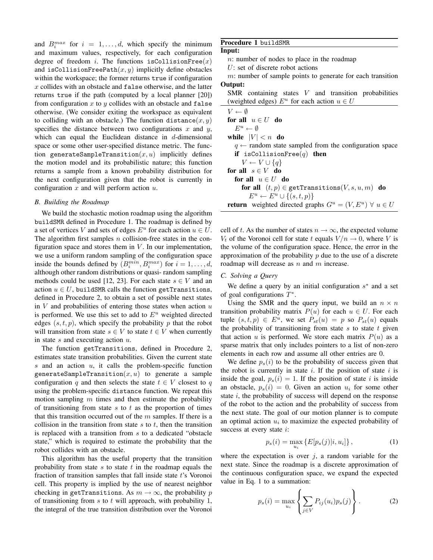and  $B_i^{max}$  for  $i = 1, \ldots, d$ , which specify the minimum and maximum values, respectively, for each configuration degree of freedom *i*. The functions is Collision  $Free(x)$ and isCollisionFreePath $(x, y)$  implicitly define obstacles within the workspace; the former returns true if configuration  $x$  collides with an obstacle and false otherwise, and the latter returns true if the path (computed by a local planner [20]) from configuration  $x$  to  $y$  collides with an obstacle and false otherwise. (We consider exiting the workspace as equivalent to colliding with an obstacle.) The function distance  $(x, y)$ specifies the distance between two configurations  $x$  and  $y$ , which can equal the Euclidean distance in  $d$ -dimensional space or some other user-specified distance metric. The function generateSampleTransition $(x, u)$  implicitly defines the motion model and its probabilistic nature; this function returns a sample from a known probability distribution for the next configuration given that the robot is currently in configuration  $x$  and will perform action  $u$ .

## *B. Building the Roadmap*

We build the stochastic motion roadmap using the algorithm buildSMR defined in Procedure 1. The roadmap is defined by a set of vertices V and sets of edges  $E^u$  for each action  $u \in U$ . The algorithm first samples  $n$  collision-free states in the configuration space and stores them in  $V$ . In our implementation, we use a uniform random sampling of the configuration space inside the bounds defined by  $(B_i^{min}, B_i^{max})$  for  $i = 1, ..., d$ , although other random distributions or quasi- random sampling methods could be used [12, 23]. For each state  $s \in V$  and an action  $u \in U$ , buildSMR calls the function getTransitions, defined in Procedure 2, to obtain a set of possible next states in  $V$  and probabilities of entering those states when action  $u$ is performed. We use this set to add to  $E<sup>u</sup>$  weighted directed edges  $(s, t, p)$ , which specify the probability p that the robot will transition from state  $s \in V$  to state  $t \in V$  when currently in state  $s$  and executing action  $u$ .

The function getTransitions, defined in Procedure 2, estimates state transition probabilities. Given the current state  $s$  and an action  $u$ , it calls the problem-specific function generateSampleTransition $(x, u)$  to generate a sample configuration q and then selects the state  $t \in V$  closest to q using the problem-specific distance function. We repeat this motion sampling  $m$  times and then estimate the probability of transitioning from state  $s$  to  $t$  as the proportion of times that this transition occurred out of the  $m$  samples. If there is a collision in the transition from state  $s$  to  $t$ , then the transition is replaced with a transition from  $s$  to a dedicated "obstacle state," which is required to estimate the probability that the robot collides with an obstacle.

This algorithm has the useful property that the transition probability from state  $s$  to state  $t$  in the roadmap equals the fraction of transition samples that fall inside state t's Voronoi cell. This property is implied by the use of nearest neighbor checking in getTransitions. As  $m \to \infty$ , the probability p of transitioning from  $s$  to  $t$  will approach, with probability 1, the integral of the true transition distribution over the Voronoi

## Procedure 1 buildSMR

# Input:

n: number of nodes to place in the roadmap

U: set of discrete robot actions

 $m$ : number of sample points to generate for each transition Output:

 $SMR$  containing states  $V$  and transition probabilities (weighted edges)  $E^u$  for each action  $u \in U$ 

| $V \leftarrow \emptyset$                                                    |
|-----------------------------------------------------------------------------|
| for all $u \in U$ do                                                        |
| $E^u \leftarrow \emptyset$                                                  |
| while $ V  < n$ do                                                          |
| $q \leftarrow$ random state sampled from the configuration space            |
| if isCollisionFree $(q)$ then                                               |
| $V \leftarrow V \cup \{q\}$                                                 |
| for all $s \in V$ do                                                        |
| for all $u \in U$ do                                                        |
| for all $(t, p) \in \text{getTransitions}(V, s, u, m)$ do                   |
| $E^u \leftarrow E^u \cup \{(s,t,p)\}\$                                      |
| <b>return</b> weighted directed graphs $G^u = (V, E^u) \ \forall \ u \in U$ |

cell of t. As the number of states  $n \to \infty$ , the expected volume  $V_t$  of the Voronoi cell for state t equals  $V/n \rightarrow 0$ , where V is the volume of the configuration space. Hence, the error in the approximation of the probability  $p$  due to the use of a discrete roadmap will decrease as  $n$  and  $m$  increase.

## *C. Solving a Query*

We define a query by an initial configuration  $s^*$  and a set of goal configurations  $T^*$ .

Using the SMR and the query input, we build an  $n \times n$ transition probability matrix  $P(u)$  for each  $u \in U$ . For each tuple  $(s, t, p) \in E^u$ , we set  $P_{st}(u) = p$  so  $P_{st}(u)$  equals the probability of transitioning from state  $s$  to state  $t$  given that action u is performed. We store each matrix  $P(u)$  as a sparse matrix that only includes pointers to a list of non-zero elements in each row and assume all other entries are 0.

We define  $p_s(i)$  to be the probability of success given that the robot is currently in state  $i$ . If the position of state  $i$  is inside the goal,  $p_s(i) = 1$ . If the position of state i is inside an obstacle,  $p_s(i) = 0$ . Given an action  $u_i$  for some other state  $i$ , the probability of success will depend on the response of the robot to the action and the probability of success from the next state. The goal of our motion planner is to compute an optimal action  $u_i$  to maximize the expected probability of success at every state *i*:

$$
p_s(i) = \max_{u_i} \{ E[p_s(j)|i, u_i] \},
$$
 (1)

where the expectation is over  $j$ , a random variable for the next state. Since the roadmap is a discrete approximation of the continuous configuration space, we expand the expected value in Eq. 1 to a summation:

$$
p_s(i) = \max_{u_i} \left\{ \sum_{j \in V} P_{ij}(u_i) p_s(j) \right\}.
$$
 (2)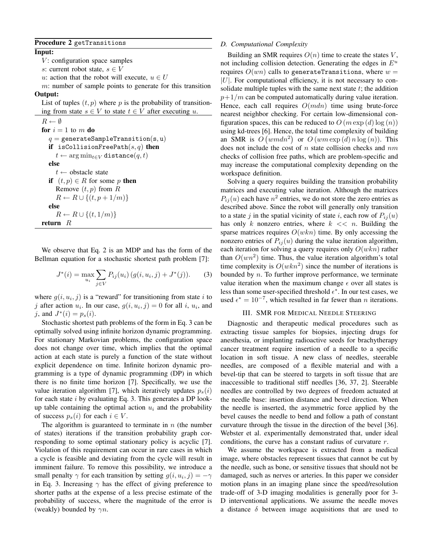## Procedure 2 getTransitions

## Input:

- $V$ : configuration space samples
- s: current robot state,  $s \in V$
- u: action that the robot will execute,  $u \in U$

 $m$ : number of sample points to generate for this transition Output:

List of tuples  $(t, p)$  where p is the probability of transitioning from state  $s \in V$  to state  $t \in V$  after executing u.

 $R \leftarrow \emptyset$ for  $i = 1$  to m do  $q =$  generateSampleTransition(s, u) if isCollisionFreePath $(s, q)$  then  $t \leftarrow \arg \min_{t \in V} \texttt{distance}(q, t)$ else  $t \leftarrow$  obstacle state if  $(t, p) \in R$  for some p then Remove  $(t, p)$  from  $R$  $R \leftarrow R \cup \{(t, p + 1/m)\}$ else  $R \leftarrow R \cup \{(t, 1/m)\}$ return  $R$ 

We observe that Eq. 2 is an MDP and has the form of the Bellman equation for a stochastic shortest path problem [7]:

$$
J^*(i) = \max_{u_i} \sum_{j \in V} P_{ij}(u_i) \left( g(i, u_i, j) + J^*(j) \right). \tag{3}
$$

where  $g(i, u_i, j)$  is a "reward" for transitioning from state i to j after action  $u_i$ . In our case,  $g(i, u_i, j) = 0$  for all i,  $u_i$ , and *j*, and  $J^*(i) = p_s(i)$ .

Stochastic shortest path problems of the form in Eq. 3 can be optimally solved using infinite horizon dynamic programming. For stationary Markovian problems, the configuration space does not change over time, which implies that the optimal action at each state is purely a function of the state without explicit dependence on time. Infinite horizon dynamic programming is a type of dynamic programming (DP) in which there is no finite time horizon [7]. Specifically, we use the value iteration algorithm [7], which iteratively updates  $p_s(i)$ for each state  $i$  by evaluating Eq. 3. This generates a DP lookup table containing the optimal action  $u_i$  and the probability of success  $p_s(i)$  for each  $i \in V$ .

The algorithm is guaranteed to terminate in  $n$  (the number of states) iterations if the transition probability graph corresponding to some optimal stationary policy is acyclic [7]. Violation of this requirement can occur in rare cases in which a cycle is feasible and deviating from the cycle will result in imminent failure. To remove this possibility, we introduce a small penalty  $\gamma$  for each transition by setting  $g(i, u_i, j) = -\gamma$ in Eq. 3. Increasing  $\gamma$  has the effect of giving preference to shorter paths at the expense of a less precise estimate of the probability of success, where the magnitude of the error is (weakly) bounded by  $\gamma n$ .

## *D. Computational Complexity*

Building an SMR requires  $O(n)$  time to create the states V, not including collision detection. Generating the edges in  $E^u$ requires  $O(wn)$  calls to generateTransitions, where  $w =$  $|U|$ . For computational efficiency, it is not necessary to consolidate multiple tuples with the same next state  $t$ ; the addition  $p+1/m$  can be computed automatically during value iteration. Hence, each call requires  $O(mdn)$  time using brute-force nearest neighbor checking. For certain low-dimensional configuration spaces, this can be reduced to  $O(m \exp(d) \log(n))$ using kd-trees [6]. Hence, the total time complexity of building an SMR is  $O(wmdn^2)$  or  $O(wm \exp(d) n \log(n))$ . This does not include the cost of  $n$  state collision checks and  $nm$ checks of collision free paths, which are problem-specific and may increase the computational complexity depending on the workspace definition.

Solving a query requires building the transition probability matrices and executing value iteration. Although the matrices  $P_{ij}(u)$  each have  $n^2$  entries, we do not store the zero entries as described above. Since the robot will generally only transition to a state j in the spatial vicinity of state i, each row of  $P_{ij}(u)$ has only k nonzero entries, where  $k \ll n$ . Building the sparse matrices requires  $O(wkn)$  time. By only accessing the nonzero entries of  $P_{ij}(u)$  during the value iteration algorithm, each iteration for solving a query requires only  $O(wkn)$  rather than  $O(wn^2)$  time. Thus, the value iteration algorithm's total time complexity is  $O(wkn^2)$  since the number of iterations is bounded by  $n$ . To further improve performance, we terminate value iteration when the maximum change  $\epsilon$  over all states is less than some user-specified threshold  $\epsilon^*$ . In our test cases, we used  $\epsilon^* = 10^{-7}$ , which resulted in far fewer than *n* iterations.

#### III. SMR FOR MEDICAL NEEDLE STEERING

Diagnostic and therapeutic medical procedures such as extracting tissue samples for biopsies, injecting drugs for anesthesia, or implanting radioactive seeds for brachytherapy cancer treatment require insertion of a needle to a specific location in soft tissue. A new class of needles, steerable needles, are composed of a flexible material and with a bevel-tip that can be steered to targets in soft tissue that are inaccessible to traditional stiff needles [36, 37, 2]. Steerable needles are controlled by two degrees of freedom actuated at the needle base: insertion distance and bevel direction. When the needle is inserted, the asymmetric force applied by the bevel causes the needle to bend and follow a path of constant curvature through the tissue in the direction of the bevel [36]. Webster et al. experimentally demonstrated that, under ideal conditions, the curve has a constant radius of curvature r.

We assume the workspace is extracted from a medical image, where obstacles represent tissues that cannot be cut by the needle, such as bone, or sensitive tissues that should not be damaged, such as nerves or arteries. In this paper we consider motion plans in an imaging plane since the speed/resolution trade-off of 3-D imaging modalities is generally poor for 3- D interventional applications. We assume the needle moves a distance  $\delta$  between image acquisitions that are used to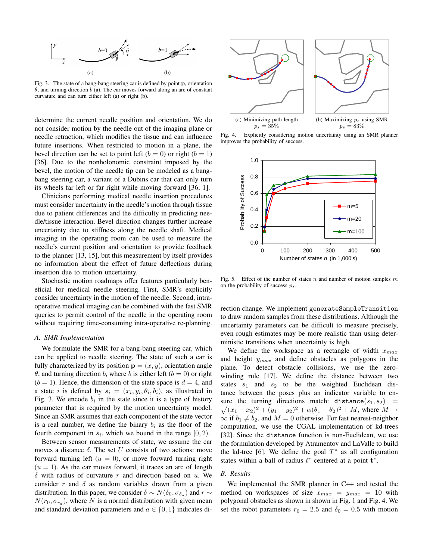

Fig. 3. The state of a bang-bang steering car is defined by point p, orientation  $\theta$ , and turning direction  $\overline{b}$  (a). The car moves forward along an arc of constant curvature and can turn either left (a) or right (b).

determine the current needle position and orientation. We do not consider motion by the needle out of the imaging plane or needle retraction, which modifies the tissue and can influence future insertions. When restricted to motion in a plane, the bevel direction can be set to point left  $(b = 0)$  or right  $(b = 1)$ [36]. Due to the nonholonomic constraint imposed by the bevel, the motion of the needle tip can be modeled as a bangbang steering car, a variant of a Dubins car that can only turn its wheels far left or far right while moving forward [36, 1].

Clinicians performing medical needle insertion procedures must consider uncertainty in the needle's motion through tissue due to patient differences and the difficulty in predicting needle/tissue interaction. Bevel direction changes further increase uncertainty due to stiffness along the needle shaft. Medical imaging in the operating room can be used to measure the needle's current position and orientation to provide feedback to the planner [13, 15], but this measurement by itself provides no information about the effect of future deflections during insertion due to motion uncertainty.

Stochastic motion roadmaps offer features particularly beneficial for medical needle steering. First, SMR's explicitly consider uncertainty in the motion of the needle. Second, intraoperative medical imaging can be combined with the fast SMR queries to permit control of the needle in the operating room without requiring time-consuming intra-operative re-planning.

### *A. SMR Implementation*

We formulate the SMR for a bang-bang steering car, which can be applied to needle steering. The state of such a car is fully characterized by its position  $\mathbf{p} = (x, y)$ , orientation angle  $\theta$ , and turning direction b, where b is either left ( $b = 0$ ) or right  $(b = 1)$ . Hence, the dimension of the state space is  $d = 4$ , and a state *i* is defined by  $s_i = (x_i, y_i, \theta_i, b_i)$ , as illustrated in Fig. 3. We encode  $b_i$  in the state since it is a type of history parameter that is required by the motion uncertainty model. Since an SMR assumes that each component of the state vector is a real number, we define the binary  $b_i$  as the floor of the fourth component in  $s_i$ , which we bound in the range  $[0, 2)$ .

Between sensor measurements of state, we assume the car moves a distance  $\delta$ . The set U consists of two actions: move forward turning left  $(u = 0)$ , or move forward turning right  $(u = 1)$ . As the car moves forward, it traces an arc of length  $\delta$  with radius of curvature r and direction based on u. We consider r and  $\delta$  as random variables drawn from a given distribution. In this paper, we consider  $\delta \sim N(\delta_0, \sigma_{\delta_a})$  and  $r \sim$  $N(r_0, \sigma_{r_a})$ , where N is a normal distribution with given mean and standard deviation parameters and  $a \in \{0, 1\}$  indicates di-



Fig. 4. Explicitly considering motion uncertainty using an SMR planner improves the probability of success.



Fig. 5. Effect of the number of states n and number of motion samples  $m$ on the probability of success  $p_s$ .

rection change. We implement generateSampleTransition to draw random samples from these distributions. Although the uncertainty parameters can be difficult to measure precisely, even rough estimates may be more realistic than using deterministic transitions when uncertainty is high.

We define the workspace as a rectangle of width  $x_{max}$ and height  $y_{max}$  and define obstacles as polygons in the plane. To detect obstacle collisions, we use the zerowinding rule [17]. We define the distance between two states  $s_1$  and  $s_2$  to be the weighted Euclidean distance between the poses plus an indicator variable to ensure the turning directions match:  $distance(s_1, s_2)$  =  $\sqrt{(x_1-x_2)^2+(y_1-y_2)^2+\alpha(\theta_1-\theta_2)^2}+M$ , where  $M \to$  $\infty$  if  $b_1 \neq b_2$ , and  $M = 0$  otherwise. For fast nearest-neighbor computation, we use the CGAL implementation of kd-trees [32]. Since the distance function is non-Euclidean, we use the formulation developed by Atramentov and LaValle to build the kd-tree [6]. We define the goal  $T^*$  as all configuration states within a ball of radius  $t^r$  centered at a point  $t^*$ .

#### *B. Results*

We implemented the SMR planner in C++ and tested the method on workspaces of size  $x_{max} = y_{max} = 10$  with polygonal obstacles as shown in shown in Fig. 1 and Fig. 4. We set the robot parameters  $r_0 = 2.5$  and  $\delta_0 = 0.5$  with motion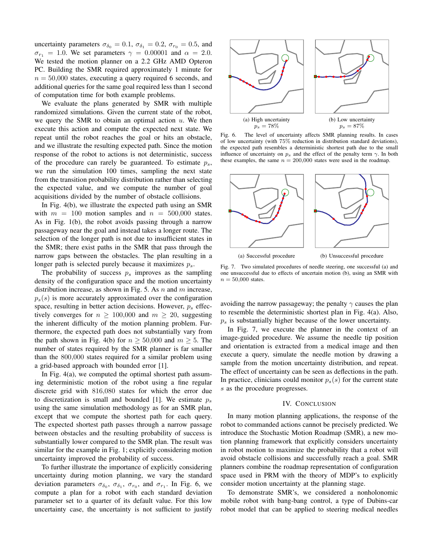uncertainty parameters  $\sigma_{\delta_0} = 0.1$ ,  $\sigma_{\delta_1} = 0.2$ ,  $\sigma_{r_0} = 0.5$ , and  $\sigma_{r_1} = 1.0$ . We set parameters  $\gamma = 0.00001$  and  $\alpha = 2.0$ . We tested the motion planner on a 2.2 GHz AMD Opteron PC. Building the SMR required approximately 1 minute for  $n = 50,000$  states, executing a query required 6 seconds, and additional queries for the same goal required less than 1 second of computation time for both example problems.

We evaluate the plans generated by SMR with multiple randomized simulations. Given the current state of the robot, we query the SMR to obtain an optimal action  $u$ . We then execute this action and compute the expected next state. We repeat until the robot reaches the goal or hits an obstacle, and we illustrate the resulting expected path. Since the motion response of the robot to actions is not deterministic, success of the procedure can rarely be guaranteed. To estimate  $p_s$ , we run the simulation 100 times, sampling the next state from the transition probability distribution rather than selecting the expected value, and we compute the number of goal acquisitions divided by the number of obstacle collisions.

In Fig. 4(b), we illustrate the expected path using an SMR with  $m = 100$  motion samples and  $n = 500,000$  states. As in Fig. 1(b), the robot avoids passing through a narrow passageway near the goal and instead takes a longer route. The selection of the longer path is not due to insufficient states in the SMR; there exist paths in the SMR that pass through the narrow gaps between the obstacles. The plan resulting in a longer path is selected purely because it maximizes  $p_s$ .

The probability of success  $p_s$  improves as the sampling density of the configuration space and the motion uncertainty distribution increase, as shown in Fig. 5. As  $n$  and  $m$  increase,  $p_s(s)$  is more accurately approximated over the configuration space, resulting in better action decisions. However,  $p_s$  effectively converges for  $n \ge 100,000$  and  $m \ge 20$ , suggesting the inherent difficulty of the motion planning problem. Furthermore, the expected path does not substantially vary from the path shown in Fig. 4(b) for  $n \ge 50,000$  and  $m \ge 5$ . The number of states required by the SMR planner is far smaller than the 800,000 states required for a similar problem using a grid-based approach with bounded error [1].

In Fig. 4(a), we computed the optimal shortest path assuming deterministic motion of the robot using a fine regular discrete grid with 816,080 states for which the error due to discretization is small and bounded [1]. We estimate  $p_s$ using the same simulation methodology as for an SMR plan, except that we compute the shortest path for each query. The expected shortest path passes through a narrow passage between obstacles and the resulting probability of success is substantially lower compared to the SMR plan. The result was similar for the example in Fig. 1; explicitly considering motion uncertainty improved the probability of success.

To further illustrate the importance of explicitly considering uncertainty during motion planning, we vary the standard deviation parameters  $\sigma_{\delta_0}$ ,  $\sigma_{\delta_1}$ ,  $\sigma_{r_0}$ , and  $\sigma_{r_1}$ . In Fig. 6, we compute a plan for a robot with each standard deviation parameter set to a quarter of its default value. For this low uncertainty case, the uncertainty is not sufficient to justify



Fig. 6. The level of uncertainty affects SMR planning results. In cases of low uncertainty (with 75% reduction in distribution standard deviations), the expected path resembles a deterministic shortest path due to the small influence of uncertainty on  $p_s$  and the effect of the penalty term  $\gamma$ . In both these examples, the same  $n = 200,000$  states were used in the roadmap.



Fig. 7. Two simulated procedures of needle steering, one successful (a) and one unsuccessful due to effects of uncertain motion (b), using an SMR with  $n = 50,000$  states.

avoiding the narrow passageway; the penalty  $\gamma$  causes the plan to resemble the deterministic shortest plan in Fig. 4(a). Also,  $p<sub>s</sub>$  is substantially higher because of the lower uncertainty.

In Fig. 7, we execute the planner in the context of an image-guided procedure. We assume the needle tip position and orientation is extracted from a medical image and then execute a query, simulate the needle motion by drawing a sample from the motion uncertainty distribution, and repeat. The effect of uncertainty can be seen as deflections in the path. In practice, clinicians could monitor  $p_s(s)$  for the current state s as the procedure progresses.

## IV. CONCLUSION

In many motion planning applications, the response of the robot to commanded actions cannot be precisely predicted. We introduce the Stochastic Motion Roadmap (SMR), a new motion planning framework that explicitly considers uncertainty in robot motion to maximize the probability that a robot will avoid obstacle collisions and successfully reach a goal. SMR planners combine the roadmap representation of configuration space used in PRM with the theory of MDP's to explicitly consider motion uncertainty at the planning stage.

To demonstrate SMR's, we considered a nonholonomic mobile robot with bang-bang control, a type of Dubins-car robot model that can be applied to steering medical needles